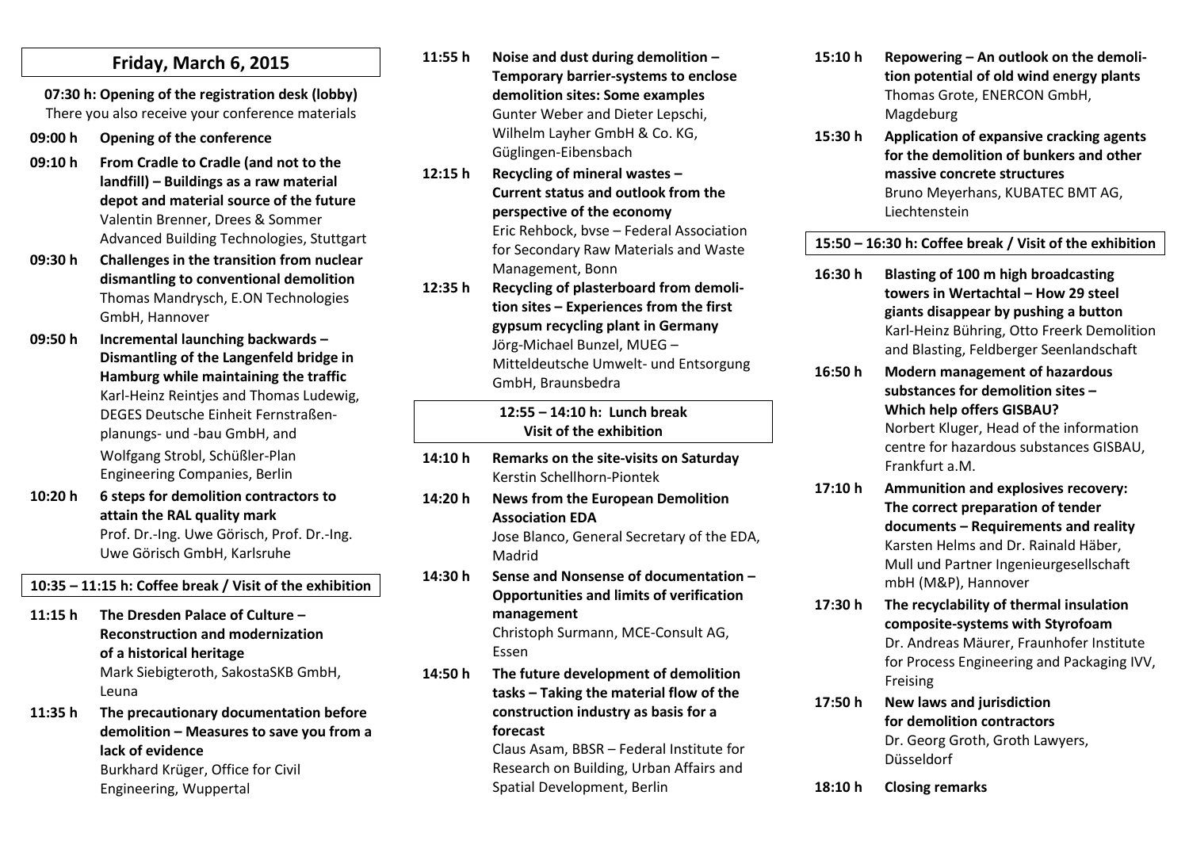### **Friday, March 6, 2015**

**07:30 h: Opening of the registration desk (lobby)** There you also receive your conference materials

- **09:00 h Opening of the conference**
- **09:10 h From Cradle to Cradle (and not to the landfill) – Buildings as a raw material depot and material source of the future** Valentin Brenner, Drees & Sommer Advanced Building Technologies, Stuttgart
- **09:30 h Challenges in the transition from nuclear dismantling to conventional demolition** Thomas Mandrysch, E.ON Technologies GmbH, Hannover
- **09:50 h Incremental launching backwards – Dismantling of the Langenfeld bridge in Hamburg while maintaining the traffic** DEGES Deutsche Einheit Fernstraßenplanungs- und -bau GmbH, and Wolfgang Strobl, Schüßler-Plan Engineering Companies, Berlin
- **10:20 h 6 steps for demolition contractors to attain the RAL quality mark** Prof. Dr.-Ing. Uwe Görisch, Prof. Dr.-Ing. Uwe Görisch GmbH, Karlsruhe

**10:35 – 11:15 h: Coffee break / Visit of the exhibition**

- **11:15 h The Dresden Palace of Culture – Reconstruction and modernization of a historical heritage** Mark Siebigteroth, SakostaSKB GmbH, Leuna
- **11:35 h The precautionary documentation before demolition – Measures to save you from a lack of evidence** Burkhard Krüger, Office for Civil Engineering, Wuppertal

- 
- 
- Karl-Heinz Reintjes and Thomas Ludewig,
- 

**Temporary barrier-systems to enclose demolition sites: Some examples** Gunter Weber and Dieter Lepschi, Wilhelm Layher GmbH & Co. KG, Güglingen-Eibensbach

**11:55 h Noise and dust during demolition –**

- **12:15 h Recycling of mineral wastes – Current status and outlook from the perspective of the economy** Eric Rehbock, bvse – Federal Association for Secondary Raw Materials and Waste Management, Bonn
- **12:35 h Recycling of plasterboard from demolition sites – Experiences from the first gypsum recycling plant in Germany**  Jörg-Michael Bunzel, MUEG – Mitteldeutsche Umwelt- und Entsorgung GmbH, Braunsbedra

**12:55 – 14:10 h: Lunch break Visit of the exhibition**

**14:10 h Remarks on the site-visits on Saturday** Kerstin Schellhorn-Piontek **14:20 h News from the European Demolition Association EDA** Jose Blanco, General Secretary of the EDA, Madrid **14:30 h Sense and Nonsense of documentation – Opportunities and limits of verification management** Christoph Surmann, MCE-Consult AG, Essen **14:50 h The future development of demolition tasks – Taking the material flow of the construction industry as basis for a forecast**

> Claus Asam, BBSR – Federal Institute for Research on Building, Urban Affairs and Spatial Development, Berlin

- **15:10 h Repowering – An outlook on the demolition potential of old wind energy plants** Thomas Grote, ENERCON GmbH, Magdeburg
- **15:30 h Application of expansive cracking agents for the demolition of bunkers and other massive concrete structures** Bruno Meyerhans, KUBATEC BMT AG, Liechtenstein

**15:50 – 16:30 h: Coffee break / Visit of the exhibition**

- **16:30 h Blasting of 100 m high broadcasting towers in Wertachtal – How 29 steel giants disappear by pushing a button** Karl-Heinz Bühring, Otto Freerk Demolition and Blasting, Feldberger Seenlandschaft
- **16:50 h Modern management of hazardous substances for demolition sites – Which help offers GISBAU?** Norbert Kluger, Head of the information centre for hazardous substances GISBAU, Frankfurt a.M.
- **17:10 h Ammunition and explosives recovery: The correct preparation of tender documents – Requirements and reality** Karsten Helms and Dr. Rainald Häber, Mull und Partner Ingenieurgesellschaft mbH (M&P), Hannover
- **17:30 h The recyclability of thermal insulation composite-systems with Styrofoam** Dr. Andreas Mäurer, Fraunhofer Institute for Process Engineering and Packaging IVV, Freising
- **17:50 h New laws and jurisdiction for demolition contractors** Dr. Georg Groth, Groth Lawyers, Düsseldorf
- **18:10 h Closing remarks**